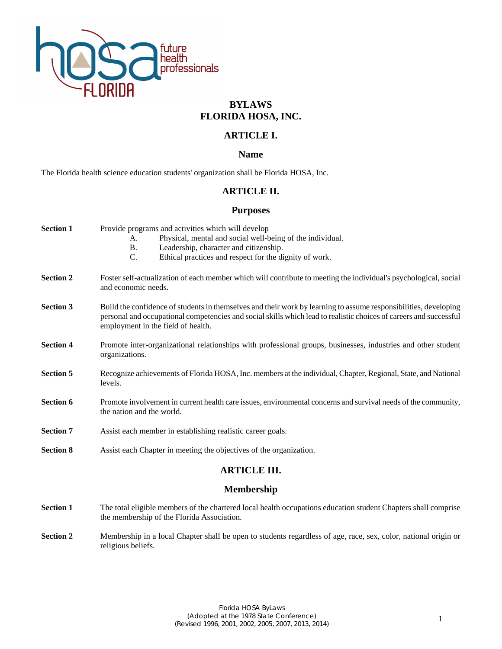

# **BYLAWS FLORIDA HOSA, INC.**

# **ARTICLE I.**

## **Name**

The Florida health science education students' organization shall be Florida HOSA, Inc.

## **ARTICLE II.**

## **Purposes**

| <b>Section 1</b>    | Provide programs and activities which will develop<br>Physical, mental and social well-being of the individual.<br>A.<br>Leadership, character and citizenship.<br><b>B.</b><br>C.<br>Ethical practices and respect for the dignity of work.                                 |  |
|---------------------|------------------------------------------------------------------------------------------------------------------------------------------------------------------------------------------------------------------------------------------------------------------------------|--|
| <b>Section 2</b>    | Foster self-actualization of each member which will contribute to meeting the individual's psychological, social<br>and economic needs.                                                                                                                                      |  |
| <b>Section 3</b>    | Build the confidence of students in themselves and their work by learning to assume responsibilities, developing<br>personal and occupational competencies and social skills which lead to realistic choices of careers and successful<br>employment in the field of health. |  |
| <b>Section 4</b>    | Promote inter-organizational relationships with professional groups, businesses, industries and other student<br>organizations.                                                                                                                                              |  |
| <b>Section 5</b>    | Recognize achievements of Florida HOSA, Inc. members at the individual, Chapter, Regional, State, and National<br>levels.                                                                                                                                                    |  |
| <b>Section 6</b>    | Promote involvement in current health care issues, environmental concerns and survival needs of the community,<br>the nation and the world.                                                                                                                                  |  |
| <b>Section 7</b>    | Assist each member in establishing realistic career goals.                                                                                                                                                                                                                   |  |
| <b>Section 8</b>    | Assist each Chapter in meeting the objectives of the organization.                                                                                                                                                                                                           |  |
| <b>ARTICLE III.</b> |                                                                                                                                                                                                                                                                              |  |
| <b>Membership</b>   |                                                                                                                                                                                                                                                                              |  |
| <b>Section 1</b>    | The total eligible members of the chartered local health occupations education student Chapters shall comprise<br>the membership of the Florida Association.                                                                                                                 |  |

**Section 2** Membership in a local Chapter shall be open to students regardless of age, race, sex, color, national origin or religious beliefs.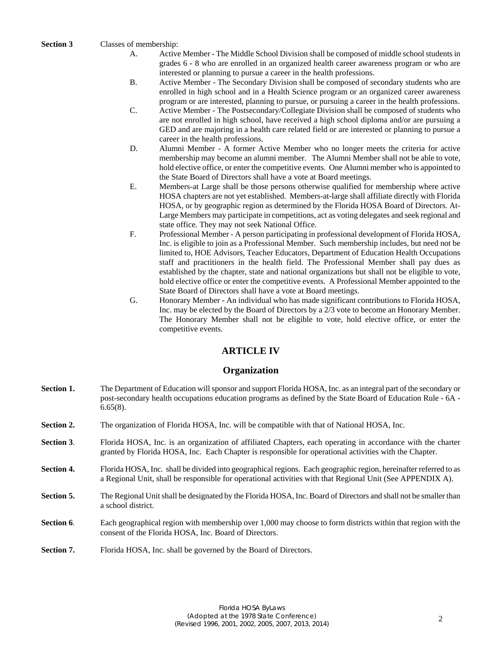#### **Section 3** Classes of membership:

- A. Active Member The Middle School Division shall be composed of middle school students in grades 6 - 8 who are enrolled in an organized health career awareness program or who are interested or planning to pursue a career in the health professions.
- B. Active Member The Secondary Division shall be composed of secondary students who are enrolled in high school and in a Health Science program or an organized career awareness program or are interested, planning to pursue, or pursuing a career in the health professions.
- C. Active Member The Postsecondary/Collegiate Division shall be composed of students who are not enrolled in high school, have received a high school diploma and/or are pursuing a GED and are majoring in a health care related field or are interested or planning to pursue a career in the health professions.
- D. Alumni Member A former Active Member who no longer meets the criteria for active membership may become an alumni member. The Alumni Member shall not be able to vote, hold elective office, or enter the competitive events. One Alumni member who is appointed to the State Board of Directors shall have a vote at Board meetings.
- E. Members-at Large shall be those persons otherwise qualified for membership where active HOSA chapters are not yet established. Members-at-large shall affiliate directly with Florida HOSA, or by geographic region as determined by the Florida HOSA Board of Directors. At-Large Members may participate in competitions, act as voting delegates and seek regional and state office. They may not seek National Office.
- F. Professional Member A person participating in professional development of Florida HOSA, Inc. is eligible to join as a Professional Member. Such membership includes, but need not be limited to, HOE Advisors, Teacher Educators, Department of Education Health Occupations staff and practitioners in the health field. The Professional Member shall pay dues as established by the chapter, state and national organizations but shall not be eligible to vote, hold elective office or enter the competitive events. A Professional Member appointed to the State Board of Directors shall have a vote at Board meetings.
- G. Honorary Member An individual who has made significant contributions to Florida HOSA, Inc. may be elected by the Board of Directors by a 2/3 vote to become an Honorary Member. The Honorary Member shall not be eligible to vote, hold elective office, or enter the competitive events.

# **ARTICLE IV**

## **Organization**

- **Section 1.** The Department of Education will sponsor and support Florida HOSA, Inc. as an integral part of the secondary or post-secondary health occupations education programs as defined by the State Board of Education Rule - 6A - 6.65(8).
- **Section 2.** The organization of Florida HOSA, Inc. will be compatible with that of National HOSA, Inc.
- **Section 3.** Florida HOSA, Inc. is an organization of affiliated Chapters, each operating in accordance with the charter granted by Florida HOSA, Inc. Each Chapter is responsible for operational activities with the Chapter.
- **Section 4.** Florida HOSA, Inc. shall be divided into geographical regions. Each geographic region, hereinafter referred to as a Regional Unit, shall be responsible for operational activities with that Regional Unit (See APPENDIX A).
- **Section 5.** The Regional Unit shall be designated by the Florida HOSA, Inc. Board of Directors and shall not be smaller than a school district.
- **Section 6**. Each geographical region with membership over 1,000 may choose to form districts within that region with the consent of the Florida HOSA, Inc. Board of Directors.
- Section 7. Florida HOSA, Inc. shall be governed by the Board of Directors.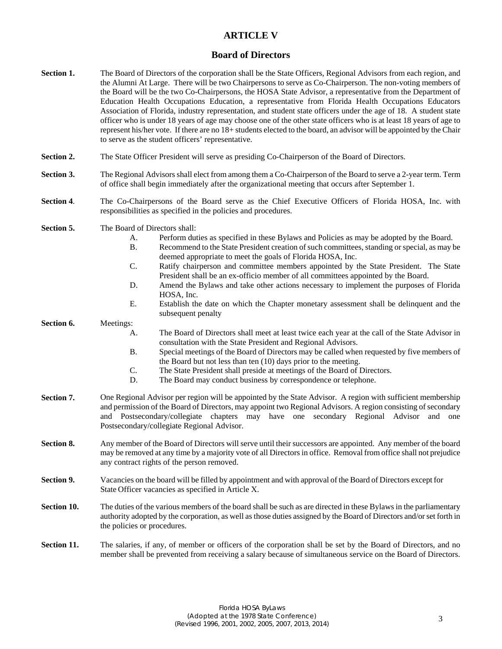# **ARTICLE V**

### **Board of Directors**

**Section 1.** The Board of Directors of the corporation shall be the State Officers, Regional Advisors from each region, and the Alumni At Large. There will be two Chairpersons to serve as Co-Chairperson. The non-voting members of the Board will be the two Co-Chairpersons, the HOSA State Advisor, a representative from the Department of Education Health Occupations Education, a representative from Florida Health Occupations Educators Association of Florida, industry representation, and student state officers under the age of 18. A student state officer who is under 18 years of age may choose one of the other state officers who is at least 18 years of age to represent his/her vote. If there are no 18+ students elected to the board, an advisor will be appointed by the Chair to serve as the student officers' representative. **Section 2.** The State Officer President will serve as presiding Co-Chairperson of the Board of Directors. **Section 3.** The Regional Advisors shall elect from among them a Co-Chairperson of the Board to serve a 2-year term. Term of office shall begin immediately after the organizational meeting that occurs after September 1. **Section 4**. The Co-Chairpersons of the Board serve as the Chief Executive Officers of Florida HOSA, Inc. with responsibilities as specified in the policies and procedures. Section 5. The Board of Directors shall: A. Perform duties as specified in these Bylaws and Policies as may be adopted by the Board. B. Recommend to the State President creation of such committees, standing or special, as may be deemed appropriate to meet the goals of Florida HOSA, Inc. C. Ratify chairperson and committee members appointed by the State President. The State President shall be an ex-officio member of all committees appointed by the Board. D. Amend the Bylaws and take other actions necessary to implement the purposes of Florida HOSA, Inc. E. Establish the date on which the Chapter monetary assessment shall be delinquent and the subsequent penalty **Section 6.** Meetings: A. The Board of Directors shall meet at least twice each year at the call of the State Advisor in consultation with the State President and Regional Advisors. B. Special meetings of the Board of Directors may be called when requested by five members of the Board but not less than ten (10) days prior to the meeting. C. The State President shall preside at meetings of the Board of Directors. D. The Board may conduct business by correspondence or telephone. **Section 7. Section 8. Section 9. Section 10. Section 11.** One Regional Advisor per region will be appointed by the State Advisor. A region with sufficient membership and permission of the Board of Directors, may appoint two Regional Advisors. A region consisting of secondary and Postsecondary/collegiate chapters may have one secondary Regional Advisor and one Postsecondary/collegiate Regional Advisor. Any member of the Board of Directors will serve until their successors are appointed. Any member of the board may be removed at any time by a majority vote of all Directors in office. Removal from office shall not prejudice any contract rights of the person removed. Vacancies on the board will be filled by appointment and with approval of the Board of Directors except for State Officer vacancies as specified in Article X. The duties of the various members of the board shall be such as are directed in these Bylaws in the parliamentary authority adopted by the corporation, as well as those duties assigned by the Board of Directors and/or set forth in the policies or procedures. The salaries, if any, of member or officers of the corporation shall be set by the Board of Directors, and no

member shall be prevented from receiving a salary because of simultaneous service on the Board of Directors.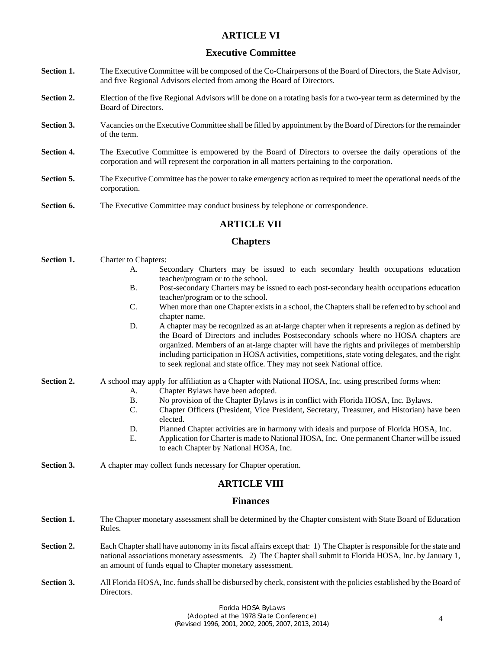# **ARTICLE VI**

## **Executive Committee**

- **Section 1.** The Executive Committee will be composed of the Co-Chairpersons of the Board of Directors, the State Advisor, and five Regional Advisors elected from among the Board of Directors.
- **Section 2.** Election of the five Regional Advisors will be done on a rotating basis for a two-year term as determined by the Board of Directors.
- **Section 3.** Vacancies on the Executive Committee shall be filled by appointment by the Board of Directors for the remainder of the term.
- **Section 4.** The Executive Committee is empowered by the Board of Directors to oversee the daily operations of the corporation and will represent the corporation in all matters pertaining to the corporation.
- **Section 5.** The Executive Committee has the power to take emergency action as required to meet the operational needs of the corporation.
- **Section 6.** The Executive Committee may conduct business by telephone or correspondence.

## **ARTICLE VII**

### **Chapters**

- **Section 1.** Charter to Chapters: A. Secondary Charters may be issued to each secondary health occupations education teacher/program or to the school. B. Post-secondary Charters may be issued to each post-secondary health occupations education teacher/program or to the school. C. When more than one Chapter exists in a school, the Chapters shall be referred to by school and chapter name. D. A chapter may be recognized as an at-large chapter when it represents a region as defined by the Board of Directors and includes Postsecondary schools where no HOSA chapters are organized. Members of an at-large chapter will have the rights and privileges of membership including participation in HOSA activities, competitions, state voting delegates, and the right to seek regional and state office. They may not seek National office. **Section 2.** A school may apply for affiliation as a Chapter with National HOSA, Inc. using prescribed forms when: A. Chapter Bylaws have been adopted. B. No provision of the Chapter Bylaws is in conflict with Florida HOSA, Inc. Bylaws. C. Chapter Officers (President, Vice President, Secretary, Treasurer, and Historian) have been elected. D. Planned Chapter activities are in harmony with ideals and purpose of Florida HOSA, Inc. E. Application for Charter is made to National HOSA, Inc. One permanent Charter will be issued to each Chapter by National HOSA, Inc. **Section 3.** A chapter may collect funds necessary for Chapter operation. **ARTICLE VIII Finances Section 1.** The Chapter monetary assessment shall be determined by the Chapter consistent with State Board of Education Rules. **Section 2.** Each Chapter shall have autonomy in its fiscal affairs except that: 1) The Chapter is responsible for the state and national associations monetary assessments. 2) The Chapter shall submit to Florida HOSA, Inc. by January 1,
- **Section 3.** All Florida HOSA, Inc. funds shall be disbursed by check, consistent with the policies established by the Board of Directors.

an amount of funds equal to Chapter monetary assessment.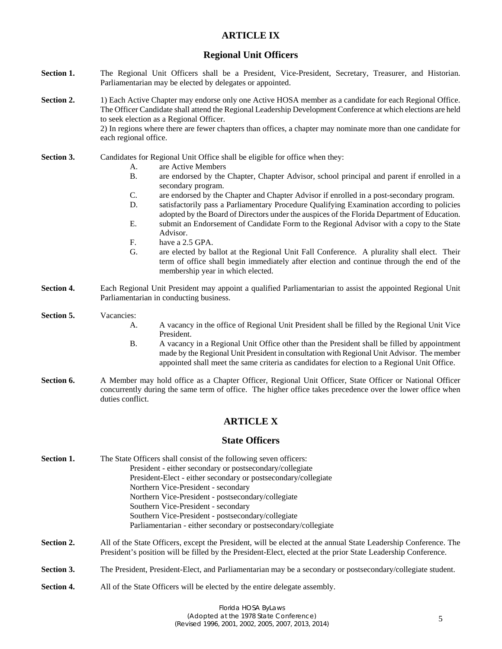# **ARTICLE IX**

## **Regional Unit Officers**

- Section 1. The Regional Unit Officers shall be a President, Vice-President, Secretary, Treasurer, and Historian. Parliamentarian may be elected by delegates or appointed.
- **Section 2.** 1) Each Active Chapter may endorse only one Active HOSA member as a candidate for each Regional Office. The Officer Candidate shall attend the Regional Leadership Development Conference at which elections are held to seek election as a Regional Officer. 2) In regions where there are fewer chapters than offices, a chapter may nominate more than one candidate for each regional office.
- Section 3. Candidates for Regional Unit Office shall be eligible for office when they:
	- A. are Active Members
	- B. are endorsed by the Chapter, Chapter Advisor, school principal and parent if enrolled in a secondary program.
	- C. are endorsed by the Chapter and Chapter Advisor if enrolled in a post-secondary program.
	- D. satisfactorily pass a Parliamentary Procedure Qualifying Examination according to policies adopted by the Board of Directors under the auspices of the Florida Department of Education.
	- E. submit an Endorsement of Candidate Form to the Regional Advisor with a copy to the State Advisor.
	- F. have a 2.5 GPA.
	- G. are elected by ballot at the Regional Unit Fall Conference. A plurality shall elect. Their term of office shall begin immediately after election and continue through the end of the membership year in which elected.
- **Section 4.** Each Regional Unit President may appoint a qualified Parliamentarian to assist the appointed Regional Unit Parliamentarian in conducting business.

# **Section 5.** Vacancies:

- A. A vacancy in the office of Regional Unit President shall be filled by the Regional Unit Vice President.
- B. A vacancy in a Regional Unit Office other than the President shall be filled by appointment made by the Regional Unit President in consultation with Regional Unit Advisor. The member appointed shall meet the same criteria as candidates for election to a Regional Unit Office.
- **Section 6.** A Member may hold office as a Chapter Officer, Regional Unit Officer, State Officer or National Officer concurrently during the same term of office. The higher office takes precedence over the lower office when duties conflict.

# **ARTICLE X**

### **State Officers**

| Section 1.        | The State Officers shall consist of the following seven officers:                                                                                                                                                                |  |
|-------------------|----------------------------------------------------------------------------------------------------------------------------------------------------------------------------------------------------------------------------------|--|
|                   | President - either secondary or postsecondary/collegiate                                                                                                                                                                         |  |
|                   | President-Elect - either secondary or postsecondary/collegiate                                                                                                                                                                   |  |
|                   | Northern Vice-President - secondary                                                                                                                                                                                              |  |
|                   | Northern Vice-President - postsecondary/collegiate                                                                                                                                                                               |  |
|                   | Southern Vice-President - secondary                                                                                                                                                                                              |  |
|                   | Southern Vice-President - postsecondary/collegiate                                                                                                                                                                               |  |
|                   | Parliamentarian - either secondary or postsecondary/collegiate                                                                                                                                                                   |  |
| Section 2.        | All of the State Officers, except the President, will be elected at the annual State Leadership Conference. The<br>President's position will be filled by the President-Elect, elected at the prior State Leadership Conference. |  |
| Section 3.        | The President, President-Elect, and Parliamentarian may be a secondary or postsecondary/collegiate student.                                                                                                                      |  |
| <b>Section 4.</b> | All of the State Officers will be elected by the entire delegate assembly.                                                                                                                                                       |  |
|                   |                                                                                                                                                                                                                                  |  |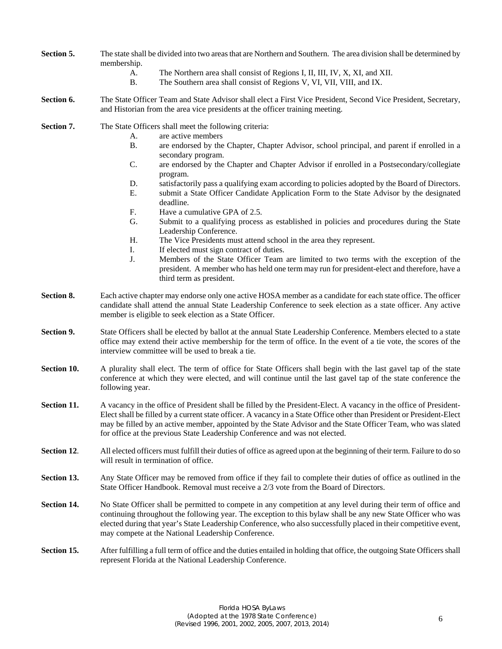- **Section 5.** The state shall be divided into two areas that are Northern and Southern. The area division shall be determined by membership.
	- A. The Northern area shall consist of Regions I, II, III, IV, X, XI, and XII.
	- B. The Southern area shall consist of Regions V, VI, VII, VIII, and IX.
- **Section 6.** The State Officer Team and State Advisor shall elect a First Vice President, Second Vice President, Secretary, and Historian from the area vice presidents at the officer training meeting.

**Section 7.** The State Officers shall meet the following criteria:

- A. are active members
- B. are endorsed by the Chapter, Chapter Advisor, school principal, and parent if enrolled in a secondary program.
- C. are endorsed by the Chapter and Chapter Advisor if enrolled in a Postsecondary/collegiate program.
- D. satisfactorily pass a qualifying exam according to policies adopted by the Board of Directors.
- E. submit a State Officer Candidate Application Form to the State Advisor by the designated deadline.
- F. Have a cumulative GPA of 2.5.
- G. Submit to a qualifying process as established in policies and procedures during the State Leadership Conference.
- H. The Vice Presidents must attend school in the area they represent.
- I. If elected must sign contract of duties.
- J. Members of the State Officer Team are limited to two terms with the exception of the president. A member who has held one term may run for president-elect and therefore, have a third term as president.
- **Section 8.** Each active chapter may endorse only one active HOSA member as a candidate for each state office. The officer candidate shall attend the annual State Leadership Conference to seek election as a state officer. Any active member is eligible to seek election as a State Officer.
- **Section 9.** State Officers shall be elected by ballot at the annual State Leadership Conference. Members elected to a state office may extend their active membership for the term of office. In the event of a tie vote, the scores of the interview committee will be used to break a tie.
- **Section 10.** A plurality shall elect. The term of office for State Officers shall begin with the last gavel tap of the state conference at which they were elected, and will continue until the last gavel tap of the state conference the following year.
- **Section 11.** A vacancy in the office of President shall be filled by the President-Elect. A vacancy in the office of President-Elect shall be filled by a current state officer. A vacancy in a State Office other than President or President-Elect may be filled by an active member, appointed by the State Advisor and the State Officer Team, who was slated for office at the previous State Leadership Conference and was not elected.
- **Section 12.** All elected officers must fulfill their duties of office as agreed upon at the beginning of their term. Failure to do so will result in termination of office.
- **Section 13.** Any State Officer may be removed from office if they fail to complete their duties of office as outlined in the State Officer Handbook. Removal must receive a 2/3 vote from the Board of Directors.
- **Section 14.** No State Officer shall be permitted to compete in any competition at any level during their term of office and continuing throughout the following year. The exception to this bylaw shall be any new State Officer who was elected during that year's State Leadership Conference, who also successfully placed in their competitive event, may compete at the National Leadership Conference.
- **Section 15.** After fulfilling a full term of office and the duties entailed in holding that office, the outgoing State Officers shall represent Florida at the National Leadership Conference.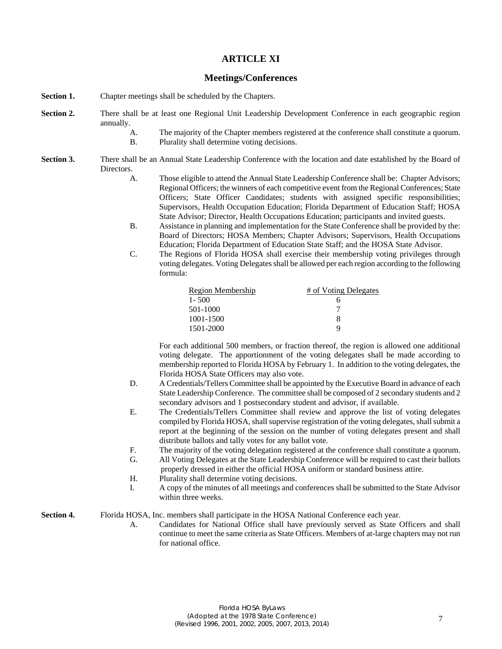## **ARTICLE XI**

### **Meetings/Conferences**

- **Section 1.** Chapter meetings shall be scheduled by the Chapters.
- **Section 2.** There shall be at least one Regional Unit Leadership Development Conference in each geographic region annually.
	- A. The majority of the Chapter members registered at the conference shall constitute a quorum.
	- B. Plurality shall determine voting decisions.
- **Section 3.** There shall be an Annual State Leadership Conference with the location and date established by the Board of Directors.
	- A. Those eligible to attend the Annual State Leadership Conference shall be: Chapter Advisors; Regional Officers; the winners of each competitive event from the Regional Conferences; State Officers; State Officer Candidates; students with assigned specific responsibilities; Supervisors, Health Occupation Education; Florida Department of Education Staff; HOSA State Advisor; Director, Health Occupations Education; participants and invited guests.
	- B. Assistance in planning and implementation for the State Conference shall be provided by the: Board of Directors; HOSA Members; Chapter Advisors; Supervisors, Health Occupations Education; Florida Department of Education State Staff; and the HOSA State Advisor.
	- C. The Regions of Florida HOSA shall exercise their membership voting privileges through voting delegates. Voting Delegates shall be allowed per each region according to the following formula:

| Region Membership | # of Voting Delegates |
|-------------------|-----------------------|
| $1 - 500$         | h                     |
| 501-1000          |                       |
| 1001-1500         | 8                     |
| 1501-2000         | Q                     |

For each additional 500 members, or fraction thereof, the region is allowed one additional voting delegate. The apportionment of the voting delegates shall be made according to membership reported to Florida HOSA by February 1. In addition to the voting delegates, the Florida HOSA State Officers may also vote.

- D. A Credentials/Tellers Committee shall be appointed by the Executive Board in advance of each State Leadership Conference. The committee shall be composed of 2 secondary students and 2 secondary advisors and 1 postsecondary student and advisor, if available.
- E. The Credentials/Tellers Committee shall review and approve the list of voting delegates compiled by Florida HOSA, shall supervise registration of the voting delegates, shall submit a report at the beginning of the session on the number of voting delegates present and shall distribute ballots and tally votes for any ballot vote.
- F. The majority of the voting delegation registered at the conference shall constitute a quorum.
- G. All Voting Delegates at the State Leadership Conference will be required to cast their ballots properly dressed in either the official HOSA uniform or standard business attire.
- H. Plurality shall determine voting decisions.
- I. A copy of the minutes of all meetings and conferences shall be submitted to the State Advisor within three weeks.

**Section 4.** Florida HOSA, Inc. members shall participate in the HOSA National Conference each year.

A. Candidates for National Office shall have previously served as State Officers and shall continue to meet the same criteria as State Officers. Members of at-large chapters may not run for national office.